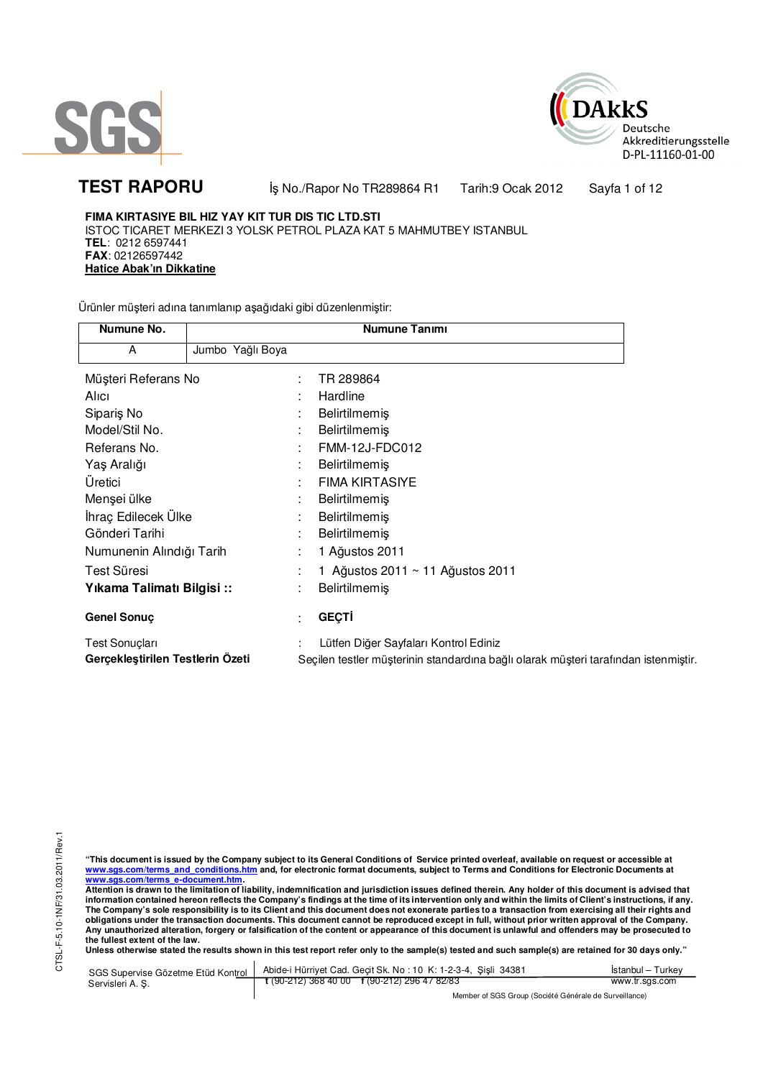



TEST RAPORU **By No./Rapor No TR289864 R1 Tarih:9 Ocak 2012** Sayfa 1 of 12

**FIMA KIRTASIYE BIL HIZ YAY KIT TUR DIS TIC LTD.STI** ISTOC TICARET MERKEZI 3 YOLSK PETROL PLAZA KAT 5 MAHMUTBEY ISTANBUL **TEL**: 0212 6597441 **FAX**: 02126597442 **Hatice Abak'ın Dikkatine**

Ürünler müşteri adına tanımlanıp aşağıdaki gibi düzenlenmiştir:

| Numune No.                       |                  |   | Numune Tanımı                                                                       |
|----------------------------------|------------------|---|-------------------------------------------------------------------------------------|
| A                                | Jumbo Yağlı Boya |   |                                                                                     |
| Müşteri Referans No              |                  | ÷ | TR 289864                                                                           |
| Alici                            |                  |   | Hardline                                                                            |
| Siparis No                       |                  |   | Belirtilmemiş                                                                       |
| Model/Stil No.                   |                  | ٠ | <b>Belirtilmemiş</b>                                                                |
| Referans No.                     |                  |   | FMM-12J-FDC012                                                                      |
| Yaş Aralığı                      |                  |   | <b>Belirtilmemis</b>                                                                |
| Üretici                          |                  | ٠ | <b>FIMA KIRTASIYE</b>                                                               |
| Menşei ülke                      |                  |   | <b>Belirtilmemiş</b>                                                                |
| İhraç Edilecek Ülke              |                  |   | Belirtilmemiş                                                                       |
| Gönderi Tarihi                   |                  |   | Belirtilmemiş                                                                       |
| Numunenin Alındığı Tarih         |                  |   | 1 Ağustos 2011                                                                      |
| Test Süresi                      |                  |   | 1 Ağustos 2011 ~ 11 Ağustos 2011                                                    |
| Yıkama Talimatı Bilgisi::        |                  | ٠ | <b>Belirtilmemiş</b>                                                                |
| <b>Genel Sonuç</b>               |                  | ٠ | <b>GEÇTİ</b>                                                                        |
| Test Sonuçları                   |                  |   | Lütfen Diğer Sayfaları Kontrol Ediniz                                               |
| Gerçekleştirilen Testlerin Ozeti |                  |   | Seçilen testler müşterinin standardına bağlı olarak müşteri tarafından istenmiştir. |

"This document is issued by the Company subject to its General Conditions of Service printed overleaf, available on request or accessible at<br>www.sgs.com/terms\_and\_conditions.htm\_and, for electronic format documents, subjec

<mark>www.sgs.com/terms\_e-document.htm.</mark><br>Attention is drawn to the limitation of liability, indemnification and jurisdiction issues defined therein. Any holder of this document is advised that information contained hereon reflects the Company's findings at the time of its intervention only and within the limits of Client's instructions, if any.<br>The Company's sole responsibility is to its Client and this document obligations under the transaction documents. This document cannot be reproduced except in full, without prior written approval of the Company.<br>Any unauthorized alteration, forgery or falsification of the content or appeara

**Unless otherwise stated the results shown in this test report refer only to the sample(s) tested and such sample(s) are retained for 30 days only."** 

| SGS Supervise Gözetme Etüd Kontrol | Abide-i Hürriyet Cad. Gecit Sk. No: 10 K: 1-2-3-4, Sisli 34381       | Istanbul – Turkev |
|------------------------------------|----------------------------------------------------------------------|-------------------|
| Servisleri A. Ş.                   | $\frac{1}{2}$ (90-212) 368 40 00 $\frac{1}{2}$ (90-212) 296 47 82/83 | www.tr.sgs.com    |
|                                    | Member of SGS Group (Société Générale de Surveillance)               |                   |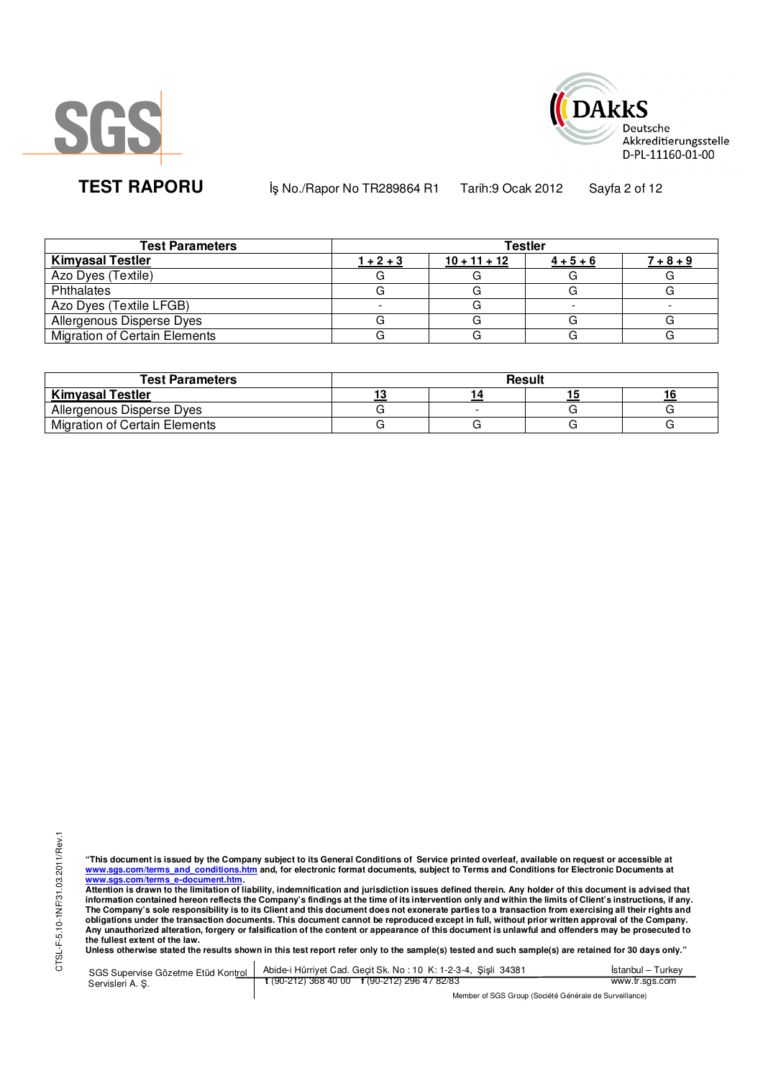



**TEST RAPORU** iş No./Rapor No TR289864 R1 Tarih:9 Ocak 2012 Sayfa 2 of 12

| <b>Test Parameters</b>               | <b>Testler</b> |                |                   |             |  |  |
|--------------------------------------|----------------|----------------|-------------------|-------------|--|--|
| <b>Kimyasal Testler</b>              | $1 + 2 + 3$    | $10 + 11 + 12$ | $\frac{4+5+6}{6}$ | $7 + 8 + 9$ |  |  |
| Azo Dyes (Textile)                   |                |                |                   |             |  |  |
| Phthalates                           |                |                |                   |             |  |  |
| Azo Dyes (Textile LFGB)              |                |                |                   |             |  |  |
| Allergenous Disperse Dyes            |                |                |                   |             |  |  |
| <b>Migration of Certain Elements</b> |                |                |                   |             |  |  |

| <b>Test Parameters</b>               | <b>Result</b> |  |  |  |  |
|--------------------------------------|---------------|--|--|--|--|
| <b>Kimyasal Testler</b>              |               |  |  |  |  |
| Allergenous Disperse Dyes            |               |  |  |  |  |
| <b>Migration of Certain Elements</b> |               |  |  |  |  |

"This document is issued by the Company subject to its General Conditions of Service printed overleaf, available on request or accessible at<br>www.sgs.com/terms\_and\_conditions.htm\_and, for electronic format documents, subjec <mark>www.sgs.com/terms\_e-document.htm.</mark><br>Attention is drawn to the limitation of liability, indemnification and jurisdiction issues defined therein. Any holder of this document is advised that

information contained hereon reflects the Company's findings at the time of its intervention only and within the limits of Client's instructions, if any.<br>The Company's sole responsibility is to its Client and this document obligations under the transaction documents. This document cannot be reproduced except in full, without prior written approval of the Company.<br>Any unauthorized alteration, forgery or falsification of the content or appeara

SGS Supervise Gözetme Etüd Kontrol Servisleri A. Ş. Abide-i Hürriyet Cad. Geçit Sk. No : 10 K: 1-2-3-4, Şişli 34381 **t** (90-212) 368 40 00 **f** (90-212) 296 47 82/83 İstanbul – Turkey www.tr.sgs.com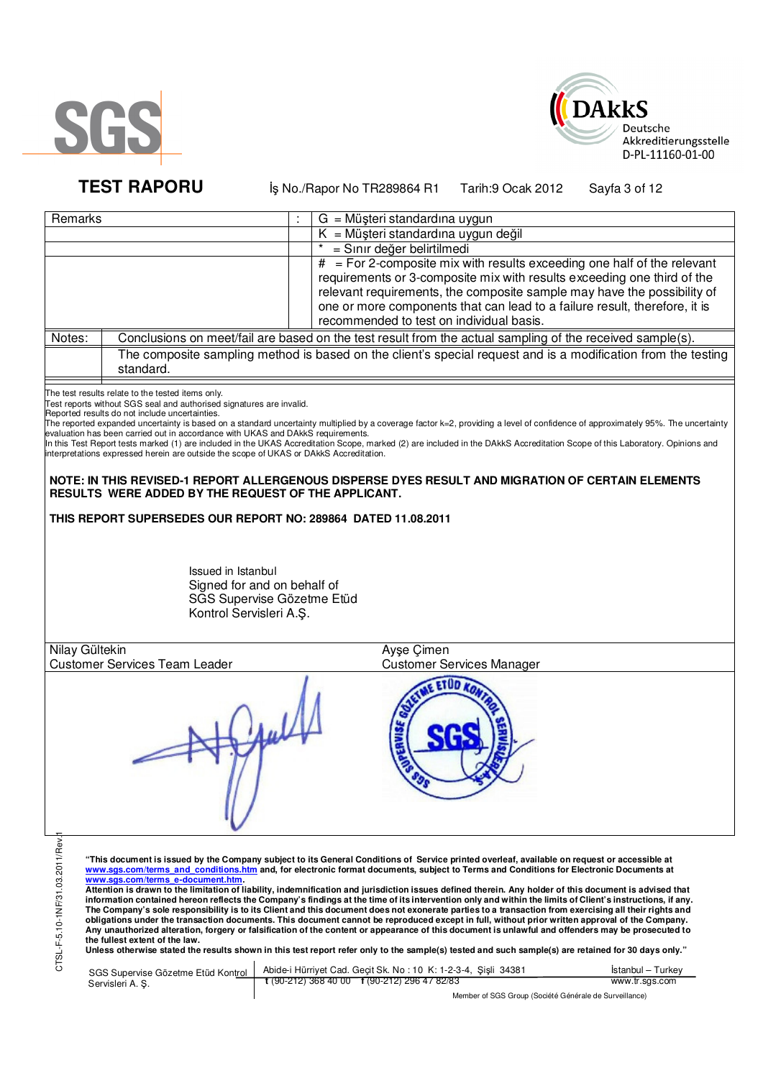



**TEST RAPORU** iş No./Rapor No TR289864 R1 Tarih:9 Ocak 2012 Sayfa 3 of 12

| Remarks        |                                                                                        | $G = M\ddot{\mu}$ şteri standardına uygun                                                                                                                                       |
|----------------|----------------------------------------------------------------------------------------|---------------------------------------------------------------------------------------------------------------------------------------------------------------------------------|
|                |                                                                                        | $K = M\ddot{\mu}$ şteri standardına uygun değil                                                                                                                                 |
|                |                                                                                        | = Sınır değer belirtilmedi                                                                                                                                                      |
|                |                                                                                        | $#$ = For 2-composite mix with results exceeding one half of the relevant                                                                                                       |
|                |                                                                                        | requirements or 3-composite mix with results exceeding one third of the                                                                                                         |
|                |                                                                                        | relevant requirements, the composite sample may have the possibility of                                                                                                         |
|                |                                                                                        | one or more components that can lead to a failure result, therefore, it is                                                                                                      |
|                |                                                                                        | recommended to test on individual basis.                                                                                                                                        |
| Notes:         |                                                                                        | Conclusions on meet/fail are based on the test result from the actual sampling of the received sample(s).                                                                       |
|                | standard.                                                                              | The composite sampling method is based on the client's special request and is a modification from the testing                                                                   |
|                | The test results relate to the tested items only.                                      |                                                                                                                                                                                 |
|                | Test reports without SGS seal and authorised signatures are invalid.                   |                                                                                                                                                                                 |
|                | Reported results do not include uncertainties.                                         | The reported expanded uncertainty is based on a standard uncertainty multiplied by a coverage factor k=2, providing a level of confidence of approximately 95%. The uncertainty |
|                | evaluation has been carried out in accordance with UKAS and DAkkS requirements.        |                                                                                                                                                                                 |
|                | interpretations expressed herein are outside the scope of UKAS or DAkkS Accreditation. | In this Test Report tests marked (1) are included in the UKAS Accreditation Scope, marked (2) are included in the DAkkS Accreditation Scope of this Laboratory. Opinions and    |
|                |                                                                                        |                                                                                                                                                                                 |
|                |                                                                                        | NOTE: IN THIS REVISED-1 REPORT ALLERGENOUS DISPERSE DYES RESULT AND MIGRATION OF CERTAIN ELEMENTS                                                                               |
|                | RESULTS WERE ADDED BY THE REQUEST OF THE APPLICANT.                                    |                                                                                                                                                                                 |
|                |                                                                                        |                                                                                                                                                                                 |
|                | THIS REPORT SUPERSEDES OUR REPORT NO: 289864 DATED 11.08.2011                          |                                                                                                                                                                                 |
|                |                                                                                        |                                                                                                                                                                                 |
|                |                                                                                        |                                                                                                                                                                                 |
|                | Issued in Istanbul                                                                     |                                                                                                                                                                                 |
|                | Signed for and on behalf of                                                            |                                                                                                                                                                                 |
|                | SGS Supervise Gözetme Etüd                                                             |                                                                                                                                                                                 |
|                | Kontrol Servisleri A.Ş.                                                                |                                                                                                                                                                                 |
|                |                                                                                        |                                                                                                                                                                                 |
| Nilay Gültekin |                                                                                        | Ayse Cimen                                                                                                                                                                      |
|                | <b>Customer Services Team Leader</b>                                                   | <b>Customer Services Manager</b>                                                                                                                                                |
|                |                                                                                        |                                                                                                                                                                                 |
|                |                                                                                        |                                                                                                                                                                                 |
|                |                                                                                        |                                                                                                                                                                                 |
|                |                                                                                        |                                                                                                                                                                                 |
|                |                                                                                        |                                                                                                                                                                                 |
|                |                                                                                        |                                                                                                                                                                                 |
|                |                                                                                        |                                                                                                                                                                                 |
|                |                                                                                        |                                                                                                                                                                                 |
|                |                                                                                        |                                                                                                                                                                                 |
|                |                                                                                        |                                                                                                                                                                                 |
|                |                                                                                        |                                                                                                                                                                                 |
|                |                                                                                        |                                                                                                                                                                                 |
| δ              |                                                                                        |                                                                                                                                                                                 |

CTSL-F-5.10-1NF/31.03.2011/Rev.1 CTSL-F-5.10-1NF/31.03.2011/F

"This document is issued by the Company subject to its General Conditions of Service printed overleaf, available on request or accessible at<br>www.sgs.com/terms\_and\_conditions.htm\_and, for electronic format documents, subjec

<mark>www.sgs.com/terms\_e-document.htm.</mark><br>Attention is drawn to the limitation of liability, indemnification and jurisdiction issues defined therein. Any holder of this document is advised that information contained hereon reflects the Company's findings at the time of its intervention only and within the limits of Client's instructions, if any.<br>The Company's sole responsibility is to its Client and this document obligations under the transaction documents. This document cannot be reproduced except in full, without prior written approval of the Company.<br>Any unauthorized alteration, forgery or falsification of the content or appeara

SGS Supervise Gözetme Etüd Kontrol Servisleri A. Ş. Abide-i Hürriyet Cad. Geçit Sk. No : 10 K: 1-2-3-4, Şişli 34381 **t** (90-212) 368 40 00 **f** (90-212) 296 47 82/83 İstanbul – Turkey www.tr.sgs.com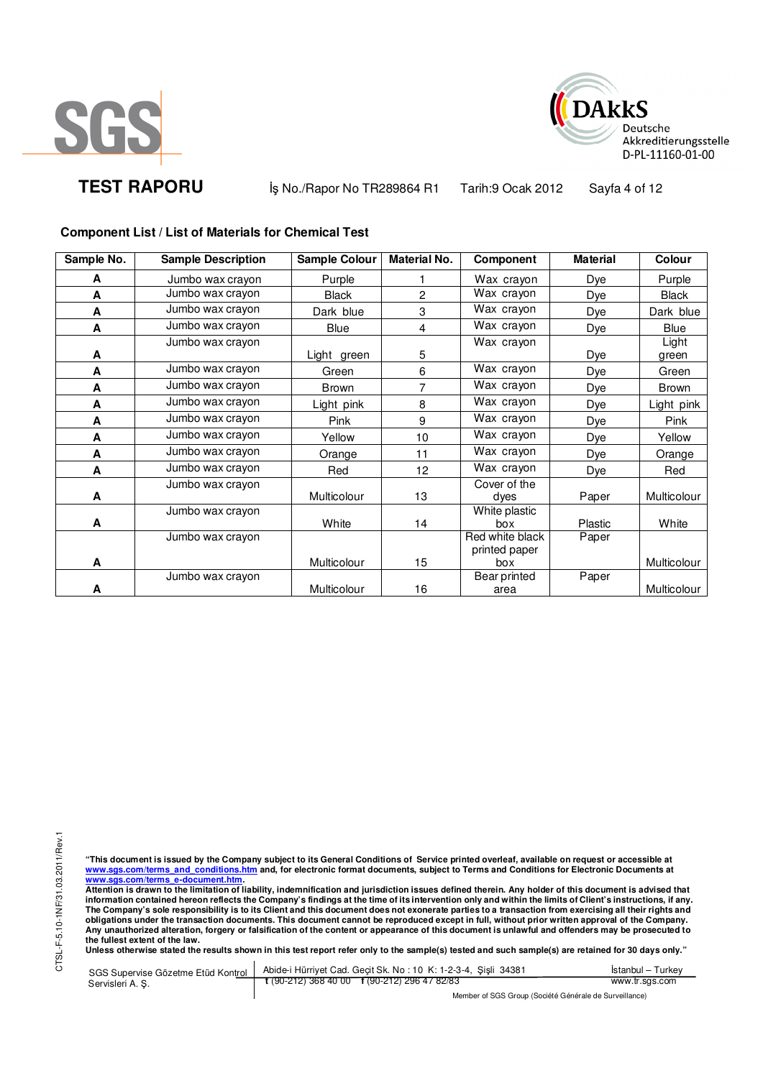



**TEST RAPORU** iş No./Rapor No TR289864 R1 Tarih:9 Ocak 2012 Sayfa 4 of 12

## **Component List / List of Materials for Chemical Test**

| Sample No. | <b>Sample Description</b> | Sample Colour | <b>Material No.</b> | Component       | <b>Material</b> | Colour       |
|------------|---------------------------|---------------|---------------------|-----------------|-----------------|--------------|
| A          | Jumbo wax crayon          | Purple        |                     | Wax crayon      | Dye             | Purple       |
| A          | Jumbo wax crayon          | <b>Black</b>  | 2                   | Wax crayon      | Dye             | <b>Black</b> |
| A          | Jumbo wax crayon          | Dark blue     | 3                   | Wax crayon      | Dye             | Dark blue    |
| A          | Jumbo wax crayon          | Blue          | 4                   | Wax crayon      | Dye             | Blue         |
|            | Jumbo wax crayon          |               |                     | Wax crayon      |                 | Light        |
| A          |                           | Light green   | 5                   |                 | Dye             | green        |
| A          | Jumbo wax crayon          | Green         | 6                   | Wax crayon      | Dye             | Green        |
| A          | Jumbo wax crayon          | <b>Brown</b>  | 7                   | Wax crayon      | Dye             | Brown        |
| A          | Jumbo wax crayon          | Light pink    | 8                   | Wax crayon      | Dye             | Light pink   |
| A          | Jumbo wax crayon          | Pink          | 9                   | Wax crayon      | Dye             | Pink         |
| A          | Jumbo wax crayon          | Yellow        | 10                  | Wax crayon      | <b>Dye</b>      | Yellow       |
| A          | Jumbo wax crayon          | Orange        | 11                  | Wax crayon      | Dye             | Orange       |
| A          | Jumbo wax crayon          | Red           | 12                  | Wax crayon      | Dye             | Red          |
|            | Jumbo wax crayon          |               |                     | Cover of the    |                 |              |
| A          |                           | Multicolour   | 13                  | dyes            | Paper           | Multicolour  |
|            | Jumbo wax crayon          |               |                     | White plastic   |                 |              |
| A          |                           | White         | 14                  | box             | Plastic         | White        |
|            | Jumbo wax crayon          |               |                     | Red white black | Paper           |              |
|            |                           |               |                     | printed paper   |                 |              |
| A          |                           | Multicolour   | 15                  | box             |                 | Multicolour  |
|            | Jumbo wax crayon          |               |                     | Bear printed    | Paper           |              |
| A          |                           | Multicolour   | 16                  | area            |                 | Multicolour  |

CTSL-F-5.10-1NF/31.03.2011/Rev.1 CTSL-F-5.10-1NF/31.03.2011/Rev.1

"This document is issued by the Company subject to its General Conditions of Service printed overleaf, available on request or accessible at<br>www.sgs.com/terms\_and\_conditions.htm\_and, for electronic format documents, subjec <mark>www.sgs.com/terms\_e-document.htm.</mark><br>Attention is drawn to the limitation of liability, indemnification and jurisdiction issues defined therein. Any holder of this document is advised that

information contained hereon reflects the Company's findings at the time of its intervention only and within the limits of Client's instructions, if any.<br>The Company's sole responsibility is to its Client and this document **obligations under the transaction documents. This document cannot be reproduced except in full, without prior written approval of the Company. Any unauthorized alteration, forgery or falsification of the content or appearance of this document is unlawful and offenders may be prosecuted to the fullest extent of the law.** 

**Unless otherwise stated the results shown in this test report refer only to the sample(s) tested and such sample(s) are retained for 30 days only."** 

SGS Supervise Gözetme Etüd Kontrol Servisleri A. Ş. Abide-i Hürriyet Cad. Geçit Sk. No : 10 K: 1-2-3-4, Şişli 34381 **t** (90-212) 368 40 00 **f** (90-212) 296 47 82/83 İstanbul – Turkey www.tr.sgs.com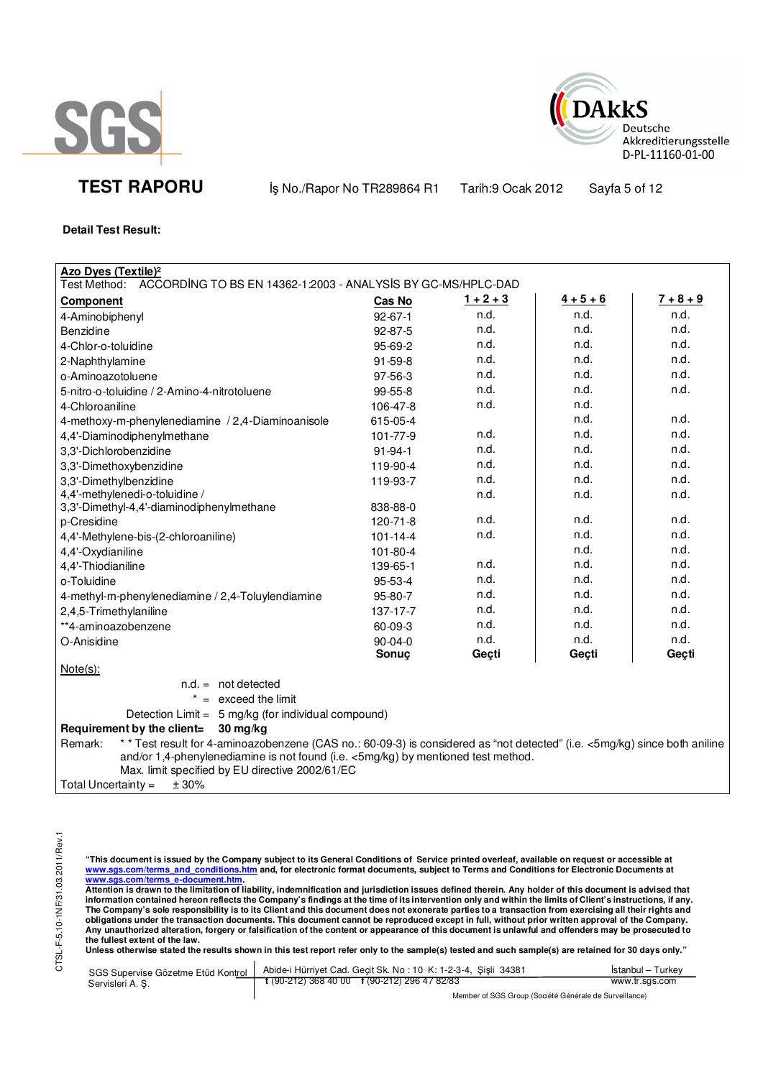



**TEST RAPORU** iş No./Rapor No TR289864 R1 Tarih:9 Ocak 2012 Sayfa 5 of 12

**Detail Test Result:**

| <b>Azo Dyes (Textile)<sup>2</sup></b>                                                                                                                                                                                                                                         |                |             |             |             |
|-------------------------------------------------------------------------------------------------------------------------------------------------------------------------------------------------------------------------------------------------------------------------------|----------------|-------------|-------------|-------------|
| ACCORDING TO BS EN 14362-1:2003 - ANALYSIS BY GC-MS/HPLC-DAD<br>Test Method:                                                                                                                                                                                                  |                |             |             |             |
| <b>Component</b>                                                                                                                                                                                                                                                              | Cas No         | $1 + 2 + 3$ | $4 + 5 + 6$ | $7 + 8 + 9$ |
| 4-Aminobiphenyl                                                                                                                                                                                                                                                               | $92 - 67 - 1$  | n.d.        | n.d.        | n.d.        |
| Benzidine                                                                                                                                                                                                                                                                     | 92-87-5        | n.d.        | n.d.        | n.d.        |
| 4-Chlor-o-toluidine                                                                                                                                                                                                                                                           | 95-69-2        | n.d.        | n.d.        | n.d.        |
| 2-Naphthylamine                                                                                                                                                                                                                                                               | $91 - 59 - 8$  | n.d.        | n.d.        | n.d.        |
| o-Aminoazotoluene                                                                                                                                                                                                                                                             | 97-56-3        | n.d.        | n.d.        | n.d.        |
| 5-nitro-o-toluidine / 2-Amino-4-nitrotoluene                                                                                                                                                                                                                                  | 99-55-8        | n.d.        | n.d.        | n.d.        |
| 4-Chloroaniline                                                                                                                                                                                                                                                               | 106-47-8       | n.d.        | n.d.        |             |
| 4-methoxy-m-phenylenediamine / 2,4-Diaminoanisole                                                                                                                                                                                                                             | 615-05-4       |             | n.d.        | n.d.        |
| 4,4'-Diaminodiphenylmethane                                                                                                                                                                                                                                                   | 101-77-9       | n.d.        | n.d.        | n.d.        |
| 3,3'-Dichlorobenzidine                                                                                                                                                                                                                                                        | $91 - 94 - 1$  | n.d.        | n.d.        | n.d.        |
| 3,3'-Dimethoxybenzidine                                                                                                                                                                                                                                                       | 119-90-4       | n.d.        | n.d.        | n.d.        |
| 3,3'-Dimethylbenzidine                                                                                                                                                                                                                                                        | 119-93-7       | n.d.        | n.d.        | n.d.        |
| 4,4'-methylenedi-o-toluidine /                                                                                                                                                                                                                                                |                | n.d.        | n.d.        | n.d.        |
| 3,3'-Dimethyl-4,4'-diaminodiphenylmethane                                                                                                                                                                                                                                     | 838-88-0       |             |             |             |
| p-Cresidine                                                                                                                                                                                                                                                                   | $120 - 71 - 8$ | n.d.        | n.d.        | n.d.        |
| 4,4'-Methylene-bis-(2-chloroaniline)                                                                                                                                                                                                                                          | $101 - 14 - 4$ | n.d.        | n.d.        | n.d.        |
| 4,4'-Oxydianiline                                                                                                                                                                                                                                                             | 101-80-4       |             | n.d.        | n.d.        |
| 4,4'-Thiodianiline                                                                                                                                                                                                                                                            | 139-65-1       | n.d.        | n.d.        | n.d.        |
| o-Toluidine                                                                                                                                                                                                                                                                   | 95-53-4        | n.d.        | n.d.        | n.d.        |
| 4-methyl-m-phenylenediamine / 2,4-Toluylendiamine                                                                                                                                                                                                                             | 95-80-7        | n.d.        | n.d.        | n.d.        |
| 2,4,5-Trimethylaniline                                                                                                                                                                                                                                                        | $137 - 17 - 7$ | n.d.        | n.d.        | n.d.        |
| **4-aminoazobenzene                                                                                                                                                                                                                                                           | 60-09-3        | n.d.        | n.d.        | n.d.        |
| O-Anisidine                                                                                                                                                                                                                                                                   | $90 - 04 - 0$  | n.d.        | n.d.        | n.d.        |
|                                                                                                                                                                                                                                                                               | Sonuç          | Geçti       | Geçti       | Geçti       |
| $Note(s)$ :                                                                                                                                                                                                                                                                   |                |             |             |             |
| $n.d. = not detected$                                                                                                                                                                                                                                                         |                |             |             |             |
| $* =$ exceed the limit                                                                                                                                                                                                                                                        |                |             |             |             |
| Detection Limit = 5 mg/kg (for individual compound)                                                                                                                                                                                                                           |                |             |             |             |
| Requirement by the client=<br>30 mg/kg                                                                                                                                                                                                                                        |                |             |             |             |
| * * Test result for 4-aminoazobenzene (CAS no.: 60-09-3) is considered as "not detected" (i.e. <5mg/kg) since both aniline<br>Remark:<br>and/or 1,4-phenylenediamine is not found (i.e. <5mg/kg) by mentioned test method.<br>Max. limit specified by EU directive 2002/61/EC |                |             |             |             |
| ± 30%<br>Total Uncertainty =                                                                                                                                                                                                                                                  |                |             |             |             |

CTSL-F-5.10-1NF/31.03.2011/Rev.1 CTSL-F-5.10-1NF/31.03.2011/Rev.1

"This document is issued by the Company subject to its General Conditions of Service printed overleaf, available on request or accessible at<br>www.sgs.com/terms\_and\_conditions.htm\_and, for electronic format documents, subjec

<mark>www.sgs.com/terms\_e-document.htm.</mark><br>Attention is drawn to the limitation of liability, indemnification and jurisdiction issues defined therein. Any holder of this document is advised that information contained hereon reflects the Company's findings at the time of its intervention only and within the limits of Client's instructions, if any.<br>The Company's sole responsibility is to its Client and this document obligations under the transaction documents. This document cannot be reproduced except in full, without prior written approval of the Company.<br>Any unauthorized alteration, forgery or falsification of the content or appeara

**Unless otherwise stated the results shown in this test report refer only to the sample(s) tested and such sample(s) are retained for 30 days only."** 

| SGS Supervise Gözetme Etüd Kontrol 1 | Abide-i Hürrivet Cad. Gecit Sk. No: 10 K: 1-2-3-4, Sisli 34381 | Istanbul – Turkey |
|--------------------------------------|----------------------------------------------------------------|-------------------|
| Servisleri A. S.                     | $\frac{1}{2}$ (90-212) 368 40 00 f (90-212) 296 47 82/83       | www.tr.sgs.com    |
|                                      | Member of SGS Group (Société Générale de Surveillance)         |                   |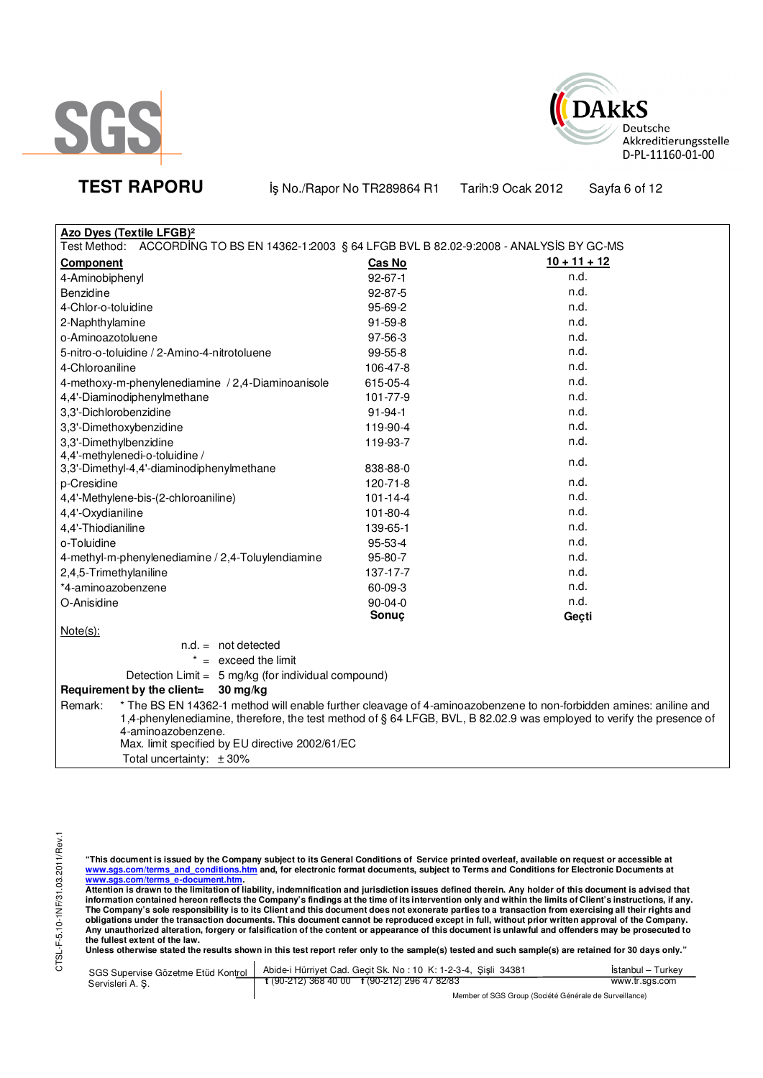



**TEST RAPORU** iş No./Rapor No TR289864 R1 Tarih:9 Ocak 2012 Sayfa 6 of 12

| <b>Azo Dyes (Textile LFGB)<sup>2</sup></b>                                                                                   |                |                |  |  |
|------------------------------------------------------------------------------------------------------------------------------|----------------|----------------|--|--|
| Test Method:<br>ACCORDING TO BS EN 14362-1:2003 § 64 LFGB BVL B 82.02-9:2008 - ANALYSIS BY GC-MS                             |                |                |  |  |
| <b>Component</b>                                                                                                             | Cas No         | $10 + 11 + 12$ |  |  |
| 4-Aminobiphenyl                                                                                                              | $92 - 67 - 1$  | n.d.           |  |  |
| Benzidine                                                                                                                    | $92 - 87 - 5$  | n.d.           |  |  |
| 4-Chlor-o-toluidine                                                                                                          | $95-69-2$      | n.d.           |  |  |
| 2-Naphthylamine                                                                                                              | $91 - 59 - 8$  | n.d.           |  |  |
| o-Aminoazotoluene                                                                                                            | 97-56-3        | n.d.           |  |  |
| 5-nitro-o-toluidine / 2-Amino-4-nitrotoluene                                                                                 | 99-55-8        | n.d.           |  |  |
| 4-Chloroaniline                                                                                                              | 106-47-8       | n.d.           |  |  |
| 4-methoxy-m-phenylenediamine / 2,4-Diaminoanisole                                                                            | 615-05-4       | n.d.           |  |  |
| 4,4'-Diaminodiphenylmethane                                                                                                  | 101-77-9       | n.d.           |  |  |
| 3,3'-Dichlorobenzidine                                                                                                       | $91 - 94 - 1$  | n.d.           |  |  |
| 3,3'-Dimethoxybenzidine                                                                                                      | 119-90-4       | n.d.           |  |  |
| 3,3'-Dimethylbenzidine                                                                                                       | 119-93-7       | n.d.           |  |  |
| 4,4'-methylenedi-o-toluidine /                                                                                               |                | n.d.           |  |  |
| 3,3'-Dimethyl-4,4'-diaminodiphenylmethane                                                                                    | 838-88-0       |                |  |  |
| p-Cresidine                                                                                                                  | 120-71-8       | n.d.           |  |  |
| 4,4'-Methylene-bis-(2-chloroaniline)                                                                                         | $101 - 14 - 4$ | n.d.           |  |  |
| 4,4'-Oxydianiline                                                                                                            | 101-80-4       | n.d.           |  |  |
| 4,4'-Thiodianiline                                                                                                           | 139-65-1       | n.d.           |  |  |
| o-Toluidine                                                                                                                  | 95-53-4        | n.d.           |  |  |
| 4-methyl-m-phenylenediamine / 2,4-Toluylendiamine                                                                            | 95-80-7        | n.d.           |  |  |
| 2,4,5-Trimethylaniline                                                                                                       | 137-17-7       | n.d.           |  |  |
| *4-aminoazobenzene                                                                                                           | 60-09-3        | n.d.           |  |  |
| O-Anisidine                                                                                                                  | $90 - 04 - 0$  | n.d.           |  |  |
|                                                                                                                              | Sonuç          | Geçti          |  |  |
| $Note(s)$ :                                                                                                                  |                |                |  |  |
| $n.d. = not detected$                                                                                                        |                |                |  |  |
| $* =$ exceed the limit                                                                                                       |                |                |  |  |
| Detection Limit = 5 mg/kg (for individual compound)                                                                          |                |                |  |  |
| Requirement by the client=<br>$30 \,\mathrm{mg/kg}$                                                                          |                |                |  |  |
| * The BS EN 14362-1 method will enable further cleavage of 4-aminoazobenzene to non-forbidden amines: aniline and<br>Remark: |                |                |  |  |
| 1,4-phenylenediamine, therefore, the test method of § 64 LFGB, BVL, B 82.02.9 was employed to verify the presence of         |                |                |  |  |
|                                                                                                                              |                |                |  |  |
|                                                                                                                              |                |                |  |  |
| 4-aminoazobenzene.<br>Max. limit specified by EU directive 2002/61/EC<br>Total uncertainty: ±30%                             |                |                |  |  |

"This document is issued by the Company subject to its General Conditions of Service printed overleaf, available on request or accessible at<br>www.sgs.com/terms\_and\_conditions.htm\_and, for electronic format documents, subjec

<u>www.sgs.com/terms\_e-document.htm.</u><br>Attention is drawn to the limitation of liability, indemnification and jurisdiction issues defined therein. Any holder of this document is advised that<br>information contained hereon refle obligations under the transaction documents. This document cannot be reproduced except in full, without prior written approval of the Company.<br>Any unauthorized alteration, forgery or falsification of the content or appeara

**Unless otherwise stated the results shown in this test report refer only to the sample(s) tested and such sample(s) are retained for 30 days only."** 

|                 | SGS Supervise Gözetme Etüd Kontrol   Abide-i Hürriyet Cad. Geçit Sk. No: 10 K: 1-2-3-4, Şişli 34381       | İstanbul – Turkev |
|-----------------|-----------------------------------------------------------------------------------------------------------|-------------------|
| Servisleri A.S. | $\frac{1}{2}$ (90-212) 368 40 00 $\frac{1}{2}$ (90-212) 296 47 82/83                                      | www.tr.sgs.com    |
|                 | $M_{\rm BH}$ . The state of $\sim$ $\sim$ $M_{\rm BH}$ is the state of $M_{\rm BH}$ . The state of $\sim$ |                   |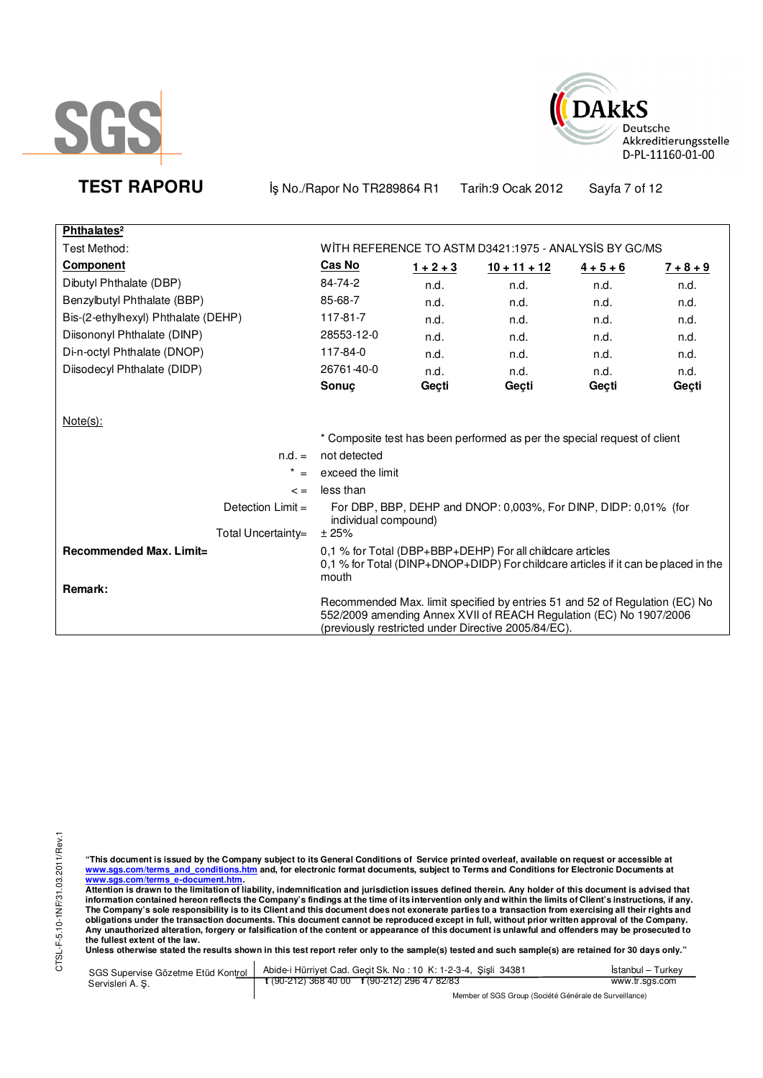



**TEST RAPORU** iş No./Rapor No TR289864 R1 Tarih:9 Ocak 2012 Sayfa 7 of 12

| Phthalates <sup>2</sup>             |                      |             |                                                                                                                                                                                                          |             |             |
|-------------------------------------|----------------------|-------------|----------------------------------------------------------------------------------------------------------------------------------------------------------------------------------------------------------|-------------|-------------|
| Test Method:                        |                      |             | WITH REFERENCE TO ASTM D3421:1975 - ANALYSIS BY GC/MS                                                                                                                                                    |             |             |
| Component                           | Cas No               | $1 + 2 + 3$ | $10 + 11 + 12$                                                                                                                                                                                           | $4 + 5 + 6$ | $7 + 8 + 9$ |
| Dibutyl Phthalate (DBP)             | 84-74-2              | n.d.        | n.d.                                                                                                                                                                                                     | n.d.        | n.d.        |
| Benzylbutyl Phthalate (BBP)         | 85-68-7              | n.d.        | n.d.                                                                                                                                                                                                     | n.d.        | n.d.        |
| Bis-(2-ethylhexyl) Phthalate (DEHP) | 117-81-7             | n.d.        | n.d.                                                                                                                                                                                                     | n.d.        | n.d.        |
| Diisononyl Phthalate (DINP)         | 28553-12-0           | n.d.        | n.d.                                                                                                                                                                                                     | n.d.        | n.d.        |
| Di-n-octyl Phthalate (DNOP)         | 117-84-0             | n.d.        | n.d.                                                                                                                                                                                                     | n.d.        | n.d.        |
| Diisodecyl Phthalate (DIDP)         | 26761-40-0           | n.d.        | n.d.                                                                                                                                                                                                     | n.d.        | n.d.        |
|                                     | Sonuç                | Geçti       | Gecti                                                                                                                                                                                                    | Geçti       | Gecti       |
| Note(s):                            |                      |             |                                                                                                                                                                                                          |             |             |
|                                     |                      |             | * Composite test has been performed as per the special request of client                                                                                                                                 |             |             |
| $n.d. =$                            | not detected         |             |                                                                                                                                                                                                          |             |             |
| $\star$                             | exceed the limit     |             |                                                                                                                                                                                                          |             |             |
| $\leq$ $=$                          | less than            |             |                                                                                                                                                                                                          |             |             |
| Detection $Limit =$                 | individual compound) |             | For DBP, BBP, DEHP and DNOP: 0,003%, For DINP, DIDP: 0,01% (for                                                                                                                                          |             |             |
| Total Uncertainty=                  | ± 25%                |             |                                                                                                                                                                                                          |             |             |
| Recommended Max. Limit=<br>Remark:  | mouth                |             | 0.1 % for Total (DBP+BBP+DEHP) For all childcare articles<br>0,1 % for Total (DINP+DNOP+DIDP) For childcare articles if it can be placed in the                                                          |             |             |
|                                     |                      |             | Recommended Max. limit specified by entries 51 and 52 of Regulation (EC) No<br>552/2009 amending Annex XVII of REACH Regulation (EC) No 1907/2006<br>(previously restricted under Directive 2005/84/EC). |             |             |

"This document is issued by the Company subject to its General Conditions of Service printed overleaf, available on request or accessible at<br>www.sgs.com/terms\_and\_conditions.htm\_and, for electronic format documents, subjec

<u>www.sgs.com/terms\_e-document.htm.</u><br>Attention is drawn to the limitation of liability, indemnification and jurisdiction issues defined therein. Any holder of this document is advised that<br>information contained hereon refle obligations under the transaction documents. This document cannot be reproduced except in full, without prior written approval of the Company.<br>Any unauthorized alteration, forgery or falsification of the content or appeara

**Unless otherwise stated the results shown in this test report refer only to the sample(s) tested and such sample(s) are retained for 30 days only."** 

| SGS Supervise Gözetme Etüd Kontrol | Abide-i Hürriyet Cad. Gecit Sk. No: 10 K: 1-2-3-4, Sisli 34381 | Istanbul – Turkev |  |  |
|------------------------------------|----------------------------------------------------------------|-------------------|--|--|
| Servisleri A. S.                   | $\frac{1}{2}$ (90-212) 368 40 00 f (90-212) 296 47 82/83       | www.tr.sgs.com    |  |  |
|                                    | Member of SGS Group (Société Générale de Surveillance)         |                   |  |  |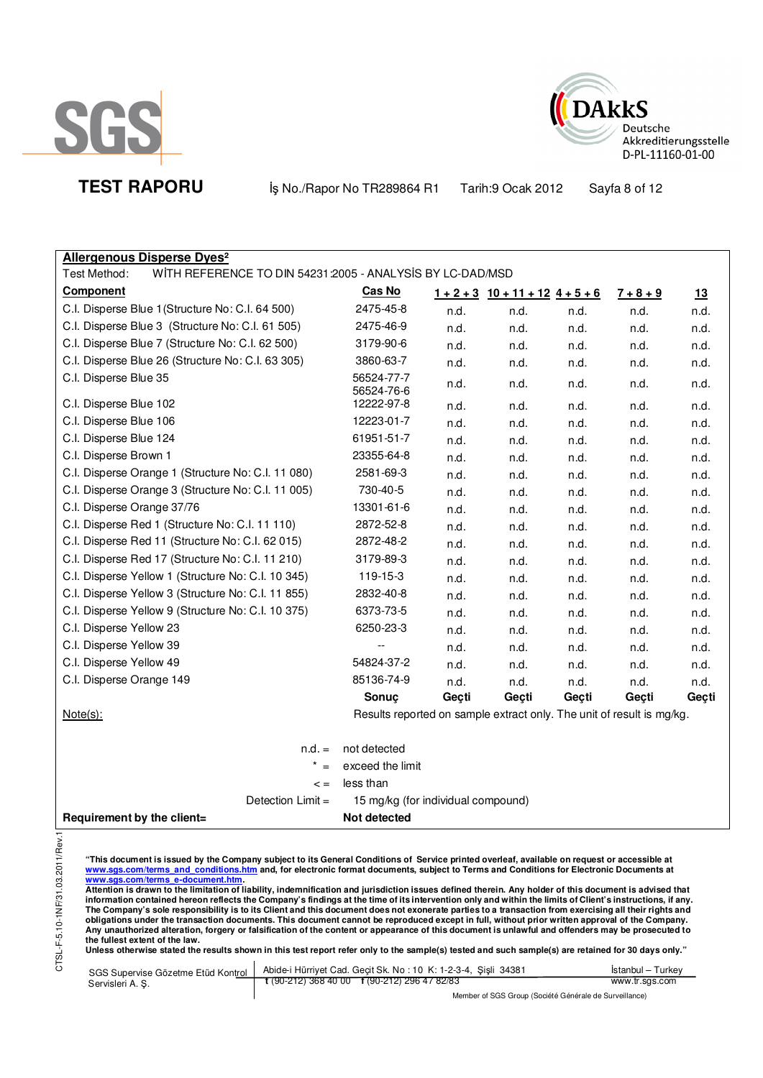



**TEST RAPORU By No./Rapor No TR289864 R1 Tarih:9 Ocak 2012** Sayfa 8 of 12

| <b>Allergenous Disperse Dyes<sup>2</sup></b>                                                                                                           |                                                                       |       |                            |       |             |       |
|--------------------------------------------------------------------------------------------------------------------------------------------------------|-----------------------------------------------------------------------|-------|----------------------------|-------|-------------|-------|
| Test Method:<br>WITH REFERENCE TO DIN 54231:2005 - ANALYSIS BY LC-DAD/MSD                                                                              |                                                                       |       |                            |       |             |       |
| Component                                                                                                                                              | Cas No                                                                |       | $1+2+3$ $10+11+12$ $4+5+6$ |       | $7 + 8 + 9$ | 13    |
| C.I. Disperse Blue 1 (Structure No: C.I. 64 500)                                                                                                       | 2475-45-8                                                             | n.d.  | n.d.                       | n.d.  | n.d.        | n.d.  |
| C.I. Disperse Blue 3 (Structure No: C.I. 61 505)                                                                                                       | 2475-46-9                                                             | n.d.  | n.d.                       | n.d.  | n.d.        | n.d.  |
| C.I. Disperse Blue 7 (Structure No: C.I. 62 500)                                                                                                       | 3179-90-6                                                             | n.d.  | n.d.                       | n.d.  | n.d.        | n.d.  |
| C.I. Disperse Blue 26 (Structure No: C.I. 63 305)                                                                                                      | 3860-63-7                                                             | n.d.  | n.d.                       | n.d.  | n.d.        | n.d.  |
| C.I. Disperse Blue 35                                                                                                                                  | 56524-77-7<br>56524-76-6                                              | n.d.  | n.d.                       | n.d.  | n.d.        | n.d.  |
| C.I. Disperse Blue 102                                                                                                                                 | 12222-97-8                                                            | n.d.  | n.d.                       | n.d.  | n.d.        | n.d.  |
| C.I. Disperse Blue 106                                                                                                                                 | 12223-01-7                                                            | n.d.  | n.d.                       | n.d.  | n.d.        | n.d.  |
| C.I. Disperse Blue 124                                                                                                                                 | 61951-51-7                                                            | n.d.  | n.d.                       | n.d.  | n.d.        | n.d.  |
| C.I. Disperse Brown 1                                                                                                                                  | 23355-64-8                                                            | n.d.  | n.d.                       | n.d.  | n.d.        | n.d.  |
| C.I. Disperse Orange 1 (Structure No: C.I. 11 080)                                                                                                     | 2581-69-3                                                             | n.d.  | n.d.                       | n.d.  | n.d.        | n.d.  |
| C.I. Disperse Orange 3 (Structure No: C.I. 11 005)                                                                                                     | 730-40-5                                                              | n.d.  | n.d.                       | n.d.  | n.d.        | n.d.  |
| C.I. Disperse Orange 37/76                                                                                                                             | 13301-61-6                                                            | n.d.  | n.d.                       | n.d.  | n.d.        | n.d.  |
| C.I. Disperse Red 1 (Structure No: C.I. 11 110)                                                                                                        | 2872-52-8                                                             | n.d.  | n.d.                       | n.d.  | n.d.        | n.d.  |
| C.I. Disperse Red 11 (Structure No: C.I. 62 015)                                                                                                       | 2872-48-2                                                             | n.d.  | n.d.                       | n.d.  | n.d.        | n.d.  |
| C.I. Disperse Red 17 (Structure No: C.I. 11 210)                                                                                                       | 3179-89-3                                                             | n.d.  | n.d.                       | n.d.  | n.d.        | n.d.  |
| C.I. Disperse Yellow 1 (Structure No: C.I. 10 345)                                                                                                     | 119-15-3                                                              | n.d.  | n.d.                       | n.d.  | n.d.        | n.d.  |
| C.I. Disperse Yellow 3 (Structure No: C.I. 11 855)                                                                                                     | 2832-40-8                                                             | n.d.  | n.d.                       | n.d.  | n.d.        | n.d.  |
| C.I. Disperse Yellow 9 (Structure No: C.I. 10 375)                                                                                                     | 6373-73-5                                                             | n.d.  | n.d.                       | n.d.  | n.d.        | n.d.  |
| C.I. Disperse Yellow 23                                                                                                                                | 6250-23-3                                                             | n.d.  | n.d.                       | n.d.  | n.d.        | n.d.  |
| C.I. Disperse Yellow 39                                                                                                                                |                                                                       | n.d.  | n.d.                       | n.d.  | n.d.        | n.d.  |
| C.I. Disperse Yellow 49                                                                                                                                | 54824-37-2                                                            | n.d.  | n.d.                       | n.d.  | n.d.        | n.d.  |
| C.I. Disperse Orange 149                                                                                                                               | 85136-74-9                                                            | n.d.  | n.d.                       | n.d.  | n.d.        | n.d.  |
|                                                                                                                                                        | Sonuç                                                                 | Geçti | Geçti                      | Geçti | Geçti       | Geçti |
| $Note(s)$ :                                                                                                                                            | Results reported on sample extract only. The unit of result is mg/kg. |       |                            |       |             |       |
| $n.d. =$                                                                                                                                               | not detected                                                          |       |                            |       |             |       |
| $* =$                                                                                                                                                  | exceed the limit                                                      |       |                            |       |             |       |
| $\leq$ =                                                                                                                                               | less than                                                             |       |                            |       |             |       |
| Detection Limit =                                                                                                                                      | 15 mg/kg (for individual compound)                                    |       |                            |       |             |       |
| Not detected<br>Requirement by the client=                                                                                                             |                                                                       |       |                            |       |             |       |
| 1/Rev.1<br>"This document is issued by the Company subject to its General Conditions of Service printed overleaf available on request or accessible at |                                                                       |       |                            |       |             |       |

"This document is issued by the Company subject to its General Conditions of Service printed overleaf, available on request or accessible at<br>www.sgs.com/terms\_and\_conditions.htm\_and, for electronic format documents, subjec

<u>www.sgs.com/terms\_e-document.htm.</u><br>Attention is drawn to the limitation of liability, indemnification and jurisdiction issues defined therein. Any holder of this document is advised that<br>information contained hereon refle obligations under the transaction documents. This document cannot be reproduced except in full, without prior written approval of the Company.<br>Any unauthorized alteration, forgery or falsification of the content or appeara

| SGS Supervise Gözetme Etüd Kontrol | Abide-i Hürriyet Cad. Gecit Sk. No: 10 K: 1-2-3-4, Sisli 34381 | <b>Istanbul</b> – Turkey |
|------------------------------------|----------------------------------------------------------------|--------------------------|
| Servisleri A.S.                    | $\frac{1}{2}$ (90-212) 368 40 00 f (90-212) 296 47 82/83       | www.tr.sgs.com           |
|                                    | Mombor of CCC Croup (Cooint Compraised do Curvaillance)        |                          |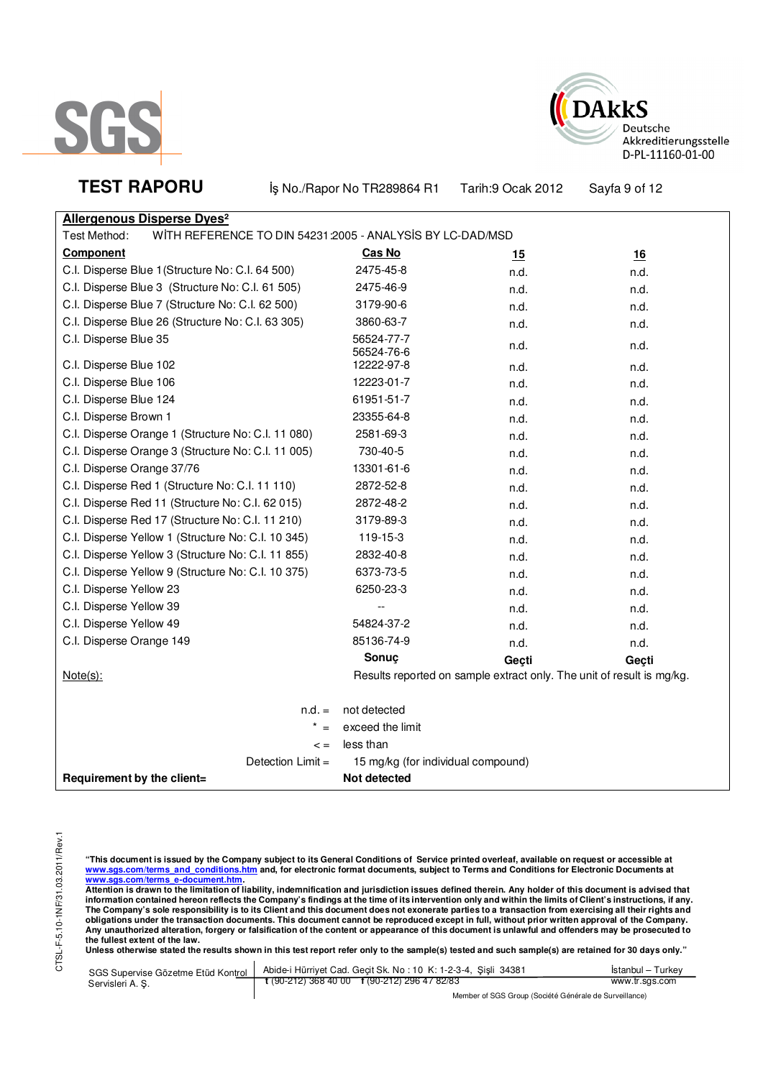



**TEST RAPORU** iş No./Rapor No TR289864 R1 Tarih:9 Ocak 2012 Sayfa 9 of 12

| <b>Allergenous Disperse Dyes<sup>2</sup></b>                              |                                    |                                                                       |           |
|---------------------------------------------------------------------------|------------------------------------|-----------------------------------------------------------------------|-----------|
| WITH REFERENCE TO DIN 54231:2005 - ANALYSIS BY LC-DAD/MSD<br>Test Method: |                                    |                                                                       |           |
| Component                                                                 | Cas No                             | <u> 15</u>                                                            | <u>16</u> |
| C.I. Disperse Blue 1 (Structure No: C.I. 64 500)                          | 2475-45-8                          | n.d.                                                                  | n.d.      |
| C.I. Disperse Blue 3 (Structure No: C.I. 61 505)                          | 2475-46-9                          | n.d.                                                                  | n.d.      |
| C.I. Disperse Blue 7 (Structure No: C.I. 62 500)                          | 3179-90-6                          | n.d.                                                                  | n.d.      |
| C.I. Disperse Blue 26 (Structure No: C.I. 63 305)                         | 3860-63-7                          | n.d.                                                                  | n.d.      |
| C.I. Disperse Blue 35                                                     | 56524-77-7<br>56524-76-6           | n.d.                                                                  | n.d.      |
| C.I. Disperse Blue 102                                                    | 12222-97-8                         | n.d.                                                                  | n.d.      |
| C.I. Disperse Blue 106                                                    | 12223-01-7                         | n.d.                                                                  | n.d.      |
| C.I. Disperse Blue 124                                                    | 61951-51-7                         | n.d.                                                                  | n.d.      |
| C.I. Disperse Brown 1                                                     | 23355-64-8                         | n.d.                                                                  | n.d.      |
| C.I. Disperse Orange 1 (Structure No: C.I. 11 080)                        | 2581-69-3                          | n.d.                                                                  | n.d.      |
| C.I. Disperse Orange 3 (Structure No: C.I. 11 005)                        | 730-40-5                           | n.d.                                                                  | n.d.      |
| C.I. Disperse Orange 37/76                                                | 13301-61-6                         | n.d.                                                                  | n.d.      |
| C.I. Disperse Red 1 (Structure No: C.I. 11 110)                           | 2872-52-8                          | n.d.                                                                  | n.d.      |
| C.I. Disperse Red 11 (Structure No: C.I. 62 015)                          | 2872-48-2                          | n.d.                                                                  | n.d.      |
| C.I. Disperse Red 17 (Structure No: C.I. 11 210)                          | 3179-89-3                          | n.d.                                                                  | n.d.      |
| C.I. Disperse Yellow 1 (Structure No: C.I. 10 345)                        | 119-15-3                           | n.d.                                                                  | n.d.      |
| C.I. Disperse Yellow 3 (Structure No: C.I. 11 855)                        | 2832-40-8                          | n.d.                                                                  | n.d.      |
| C.I. Disperse Yellow 9 (Structure No: C.I. 10 375)                        | 6373-73-5                          | n.d.                                                                  | n.d.      |
| C.I. Disperse Yellow 23                                                   | 6250-23-3                          | n.d.                                                                  | n.d.      |
| C.I. Disperse Yellow 39                                                   |                                    | n.d.                                                                  | n.d.      |
| C.I. Disperse Yellow 49                                                   | 54824-37-2                         | n.d.                                                                  | n.d.      |
| C.I. Disperse Orange 149                                                  | 85136-74-9                         | n.d.                                                                  | n.d.      |
|                                                                           | Sonuç                              | Geçti                                                                 | Geçti     |
| $Note(s)$ :                                                               |                                    | Results reported on sample extract only. The unit of result is mg/kg. |           |
| $n.d. =$                                                                  | not detected                       |                                                                       |           |
| $* =$                                                                     | exceed the limit                   |                                                                       |           |
| $\lt$ =                                                                   | less than                          |                                                                       |           |
| Detection Limit =                                                         | 15 mg/kg (for individual compound) |                                                                       |           |
| Requirement by the client=                                                | <b>Not detected</b>                |                                                                       |           |

"This document is issued by the Company subject to its General Conditions of Service printed overleaf, available on request or accessible at<br>www.sgs.com/terms\_and\_conditions.htm\_and, for electronic format documents, subjec

<mark>www.sgs.com/terms\_e-document.htm.</mark><br>Attention is drawn to the limitation of liability, indemnification and jurisdiction issues defined therein. Any holder of this document is advised that information contained hereon reflects the Company's findings at the time of its intervention only and within the limits of Client's instructions, if any.<br>The Company's sole responsibility is to its Client and this document obligations under the transaction documents. This document cannot be reproduced except in full, without prior written approval of the Company.<br>Any unauthorized alteration, forgery or falsification of the content or appeara

**Unless otherwise stated the results shown in this test report refer only to the sample(s) tested and such sample(s) are retained for 30 days only."** 

| SGS Supervise Gözetme Etüd Kontrol | Abide-i Hürriyet Cad. Geçit Sk. No: 10 K: 1-2-3-4, Şişli 34381 | Istanbul – Turkev |
|------------------------------------|----------------------------------------------------------------|-------------------|
| Servisleri A.S.                    | $\frac{1}{2}$ (90-212) 368 40 00 f (90-212) 296 47 82/83       | www.tr.sgs.com    |
|                                    |                                                                |                   |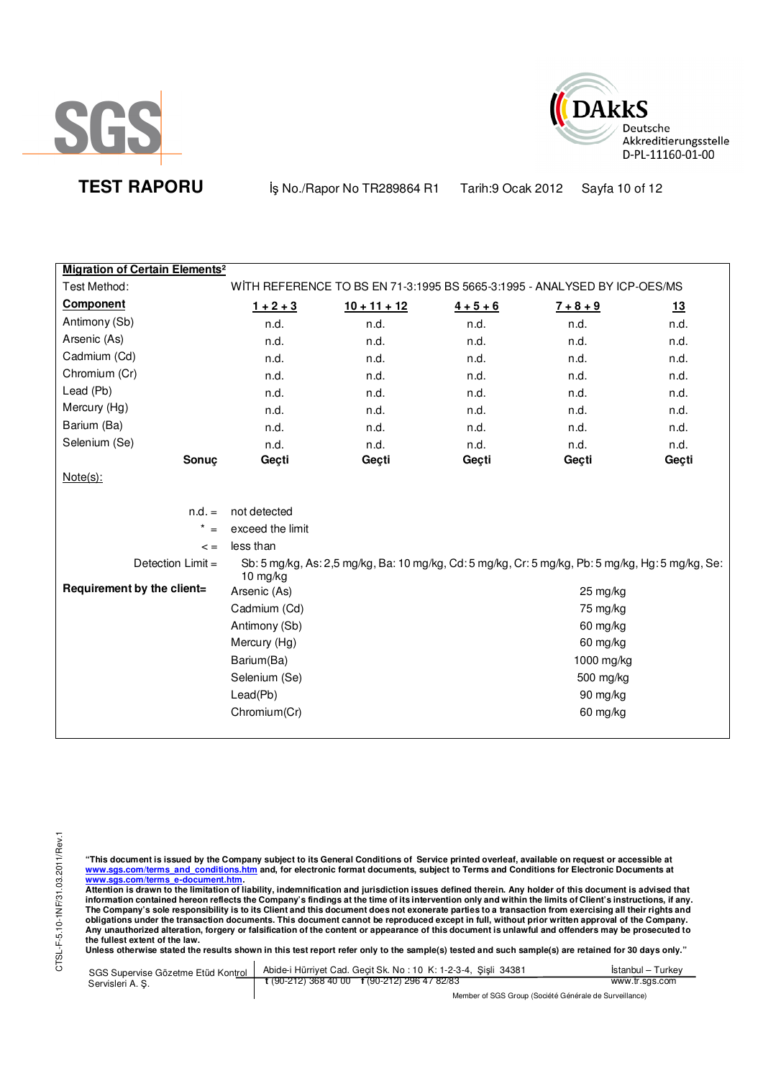



**TEST RAPORU By No./Rapor No TR289864 R1 Tarih:9 Ocak 2012** Sayfa 10 of 12

| <b>Migration of Certain Elements<sup>2</sup></b> |                  |                |             |                                                                                                   |       |
|--------------------------------------------------|------------------|----------------|-------------|---------------------------------------------------------------------------------------------------|-------|
| Test Method:                                     |                  |                |             | WITH REFERENCE TO BS EN 71-3:1995 BS 5665-3:1995 - ANALYSED BY ICP-OES/MS                         |       |
| <b>Component</b>                                 | $1 + 2 + 3$      | $10 + 11 + 12$ | $4 + 5 + 6$ | $7 + 8 + 9$                                                                                       | 13    |
| Antimony (Sb)                                    | n.d.             | n.d.           | n.d.        | n.d.                                                                                              | n.d.  |
| Arsenic (As)                                     | n.d.             | n.d.           | n.d.        | n.d.                                                                                              | n.d.  |
| Cadmium (Cd)                                     | n.d.             | n.d.           | n.d.        | n.d.                                                                                              | n.d.  |
| Chromium (Cr)                                    | n.d.             | n.d.           | n.d.        | n.d.                                                                                              | n.d.  |
| Lead (Pb)                                        | n.d.             | n.d.           | n.d.        | n.d.                                                                                              | n.d.  |
| Mercury (Hg)                                     | n.d.             | n.d.           | n.d.        | n.d.                                                                                              | n.d.  |
| Barium (Ba)                                      | n.d.             | n.d.           | n.d.        | n.d.                                                                                              | n.d.  |
| Selenium (Se)                                    | n.d.             | n.d.           | n.d.        | n.d.                                                                                              | n.d.  |
| Sonuç                                            | Geçti            | Geçti          | Geçti       | Geçti                                                                                             | Geçti |
| $Note(s)$ :                                      |                  |                |             |                                                                                                   |       |
|                                                  |                  |                |             |                                                                                                   |       |
| $n.d. =$                                         | not detected     |                |             |                                                                                                   |       |
| $* =$                                            | exceed the limit |                |             |                                                                                                   |       |
| $\leq$ =                                         | less than        |                |             |                                                                                                   |       |
| Detection Limit =                                | 10 $mg/kg$       |                |             | Sb: 5 mg/kg, As: 2,5 mg/kg, Ba: 10 mg/kg, Cd: 5 mg/kg, Cr: 5 mg/kg, Pb: 5 mg/kg, Hg: 5 mg/kg, Se: |       |
| Requirement by the client=                       | Arsenic (As)     |                |             | 25 mg/kg                                                                                          |       |
|                                                  | Cadmium (Cd)     | 75 mg/kg       |             |                                                                                                   |       |
|                                                  | Antimony (Sb)    | 60 mg/kg       |             |                                                                                                   |       |
|                                                  | Mercury (Hg)     | 60 mg/kg       |             |                                                                                                   |       |
|                                                  | Barium(Ba)       | 1000 mg/kg     |             |                                                                                                   |       |
|                                                  | Selenium (Se)    | 500 mg/kg      |             |                                                                                                   |       |
|                                                  | Lead(Pb)         | 90 mg/kg       |             |                                                                                                   |       |
|                                                  | Chromium(Cr)     |                |             | 60 mg/kg                                                                                          |       |
|                                                  |                  |                |             |                                                                                                   |       |

"This document is issued by the Company subject to its General Conditions of Service printed overleaf, available on request or accessible at<br>www.sgs.com/terms\_and\_conditions.htm\_and, for electronic format documents, subjec

<u>www.sgs.com/terms\_e-document.htm.</u><br>Attention is drawn to the limitation of liability, indemnification and jurisdiction issues defined therein. Any holder of this document is advised that<br>information contained hereon refle obligations under the transaction documents. This document cannot be reproduced except in full, without prior written approval of the Company.<br>Any unauthorized alteration, forgery or falsification of the content or appeara

**Unless otherwise stated the results shown in this test report refer only to the sample(s) tested and such sample(s) are retained for 30 days only."** 

| SGS Supervise Gözetme Etüd Kontrol | Abide-i Hürriyet Cad. Gecit Sk. No: 10 K: 1-2-3-4, Sisli 34381       | Istanbul – Turkev                                      |  |
|------------------------------------|----------------------------------------------------------------------|--------------------------------------------------------|--|
| Servisleri A.S.                    | $\frac{1}{2}$ (90-212) 368 40 00 $\frac{1}{2}$ (90-212) 296 47 82/83 | www.tr.sgs.com                                         |  |
|                                    |                                                                      | Member of SGS Group (Société Générale de Surveillance) |  |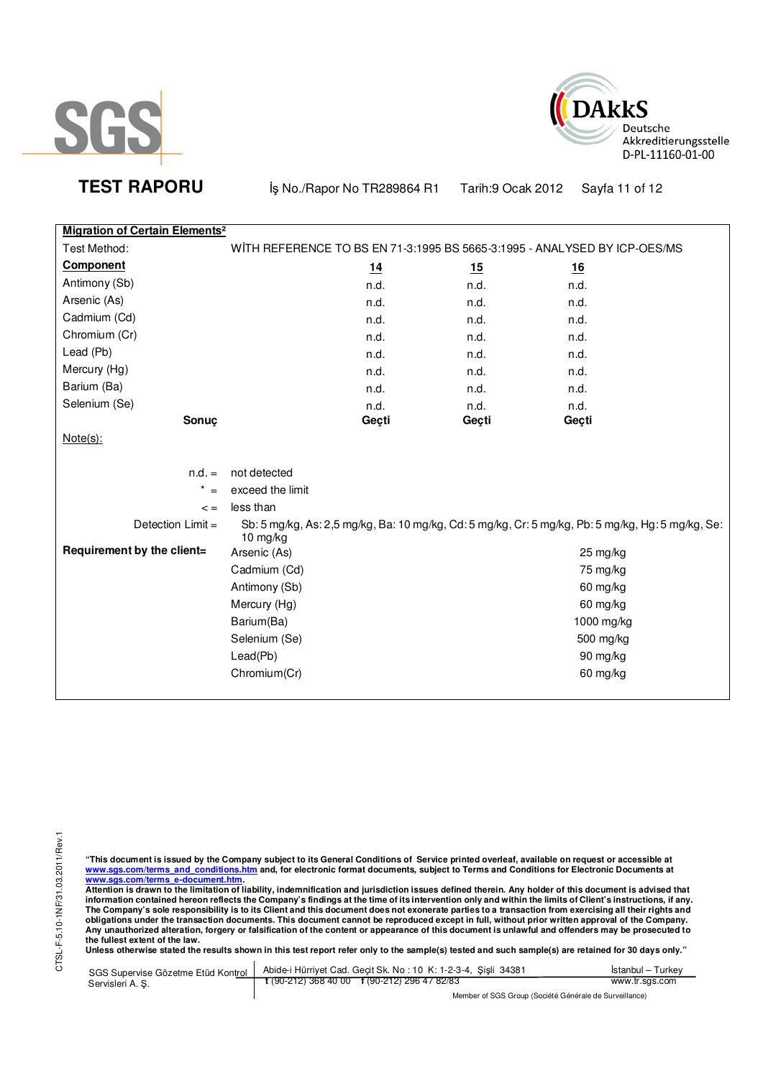



**TEST RAPORU b** iş No./Rapor No TR289864 R1 Tarih:9 Ocak 2012 Sayfa 11 of 12

| <b>Migration of Certain Elements<sup>2</sup></b> |                  |       |           |                                                                                                   |  |
|--------------------------------------------------|------------------|-------|-----------|---------------------------------------------------------------------------------------------------|--|
| Test Method:                                     |                  |       |           | WITH REFERENCE TO BS EN 71-3:1995 BS 5665-3:1995 - ANALYSED BY ICP-OES/MS                         |  |
| <b>Component</b>                                 |                  | 14    | <u>15</u> | 16                                                                                                |  |
| Antimony (Sb)                                    |                  | n.d.  | n.d.      | n.d.                                                                                              |  |
| Arsenic (As)                                     |                  | n.d.  | n.d.      | n.d.                                                                                              |  |
| Cadmium (Cd)                                     |                  | n.d.  | n.d.      | n.d.                                                                                              |  |
| Chromium (Cr)                                    |                  | n.d.  | n.d.      | n.d.                                                                                              |  |
| Lead (Pb)                                        |                  | n.d.  | n.d.      | n.d.                                                                                              |  |
| Mercury (Hg)                                     |                  | n.d.  | n.d.      | n.d.                                                                                              |  |
| Barium (Ba)                                      |                  | n.d.  | n.d.      | n.d.                                                                                              |  |
| Selenium (Se)                                    |                  | n.d.  | n.d.      | n.d.                                                                                              |  |
| Sonuç                                            |                  | Geçti | Geçti     | Geçti                                                                                             |  |
| $Note(s)$ :                                      |                  |       |           |                                                                                                   |  |
|                                                  |                  |       |           |                                                                                                   |  |
| $n.d. =$                                         | not detected     |       |           |                                                                                                   |  |
| $\star$<br>$=$                                   | exceed the limit |       |           |                                                                                                   |  |
| $\lt$ =                                          | less than        |       |           |                                                                                                   |  |
| Detection Limit =                                | 10 mg/kg         |       |           | Sb: 5 mg/kg, As: 2,5 mg/kg, Ba: 10 mg/kg, Cd: 5 mg/kg, Cr: 5 mg/kg, Pb: 5 mg/kg, Hg: 5 mg/kg, Se: |  |
| Requirement by the client=                       | Arsenic (As)     |       |           | 25 mg/kg                                                                                          |  |
|                                                  | Cadmium (Cd)     |       |           | 75 mg/kg                                                                                          |  |
|                                                  | Antimony (Sb)    |       |           | 60 mg/kg                                                                                          |  |
|                                                  | Mercury (Hg)     |       |           | 60 mg/kg                                                                                          |  |
|                                                  | Barium(Ba)       |       |           | 1000 mg/kg                                                                                        |  |
|                                                  | Selenium (Se)    |       |           | 500 mg/kg                                                                                         |  |
|                                                  | Lead(Pb)         |       |           | 90 mg/kg                                                                                          |  |
|                                                  | Chromium(Cr)     |       |           | 60 mg/kg                                                                                          |  |
|                                                  |                  |       |           |                                                                                                   |  |

"This document is issued by the Company subject to its General Conditions of Service printed overleaf, available on request or accessible at<br>www.sgs.com/terms\_and\_conditions.htm\_and, for electronic format documents, subjec

<u>www.sgs.com/terms\_e-document.htm.</u><br>Attention is drawn to the limitation of liability, indemnification and jurisdiction issues defined therein. Any holder of this document is advised that<br>information contained hereon refle obligations under the transaction documents. This document cannot be reproduced except in full, without prior written approval of the Company.<br>Any unauthorized alteration, forgery or falsification of the content or appeara

**Unless otherwise stated the results shown in this test report refer only to the sample(s) tested and such sample(s) are retained for 30 days only."** 

| SGS Supervise Gözetme Etüd Kontrol | Abide-i Hürriyet Cad. Gecit Sk. No: 10 K: 1-2-3-4, Sisli 34381 | Istanbul – Turkev                                      |  |
|------------------------------------|----------------------------------------------------------------|--------------------------------------------------------|--|
| Servisleri A. S.                   | $\frac{1}{2}$ (90-212) 368 40 00 f (90-212) 296 47 82/83       | www.tr.sgs.com                                         |  |
|                                    |                                                                | Member of SGS Group (Société Générale de Surveillance) |  |